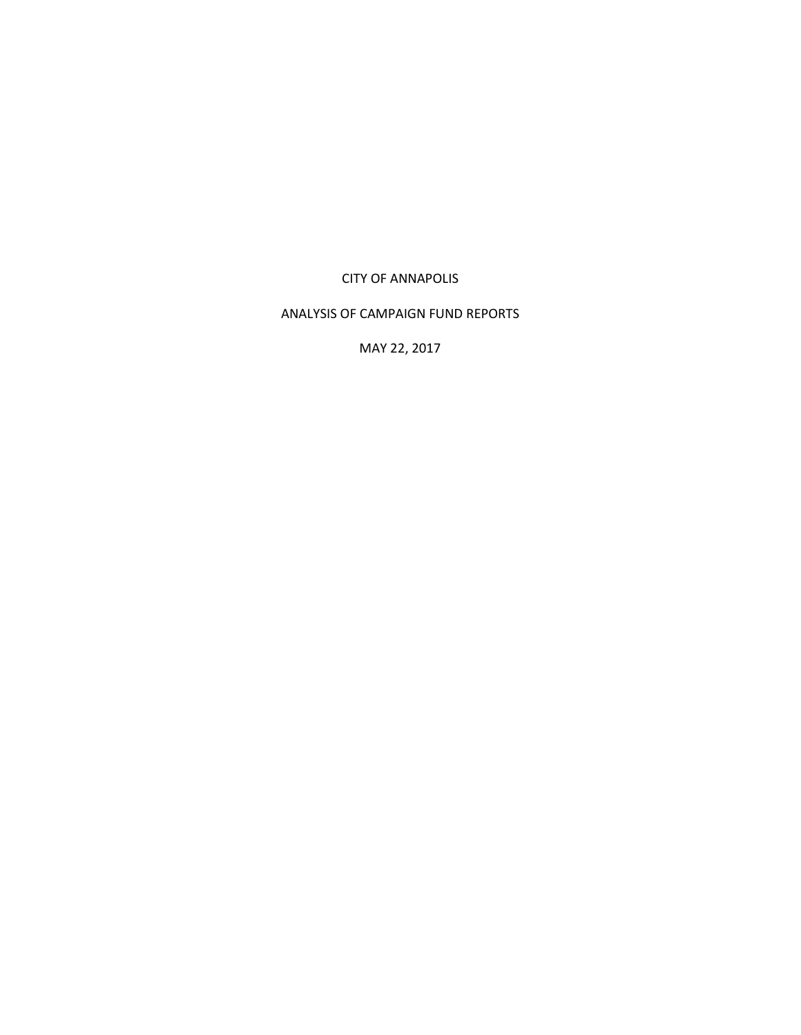CITY OF ANNAPOLIS

ANALYSIS OF CAMPAIGN FUND REPORTS

MAY 22, 2017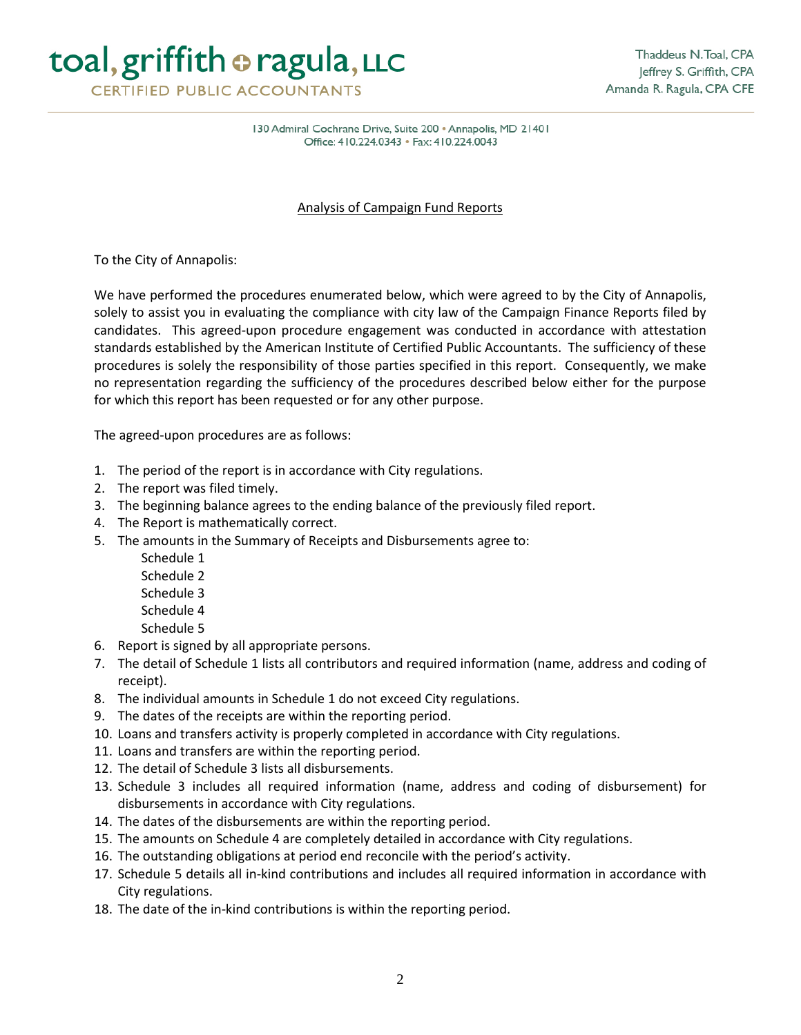# toal, griffith o ragula, LLC

**CERTIFIED PUBLIC ACCOUNTANTS** 

130 Admiral Cochrane Drive, Suite 200 · Annapolis, MD 21401 Office: 410.224.0343 • Fax: 410.224.0043

# Analysis of Campaign Fund Reports

To the City of Annapolis:

We have performed the procedures enumerated below, which were agreed to by the City of Annapolis, solely to assist you in evaluating the compliance with city law of the Campaign Finance Reports filed by candidates. This agreed-upon procedure engagement was conducted in accordance with attestation standards established by the American Institute of Certified Public Accountants. The sufficiency of these procedures is solely the responsibility of those parties specified in this report. Consequently, we make no representation regarding the sufficiency of the procedures described below either for the purpose for which this report has been requested or for any other purpose.

The agreed-upon procedures are as follows:

- 1. The period of the report is in accordance with City regulations.
- 2. The report was filed timely.
- 3. The beginning balance agrees to the ending balance of the previously filed report.
- 4. The Report is mathematically correct.
- 5. The amounts in the Summary of Receipts and Disbursements agree to:
	- Schedule 1 Schedule 2 Schedule 3 Schedule 4 Schedule 5
- 6. Report is signed by all appropriate persons.
- 7. The detail of Schedule 1 lists all contributors and required information (name, address and coding of receipt).
- 8. The individual amounts in Schedule 1 do not exceed City regulations.
- 9. The dates of the receipts are within the reporting period.
- 10. Loans and transfers activity is properly completed in accordance with City regulations.
- 11. Loans and transfers are within the reporting period.
- 12. The detail of Schedule 3 lists all disbursements.
- 13. Schedule 3 includes all required information (name, address and coding of disbursement) for disbursements in accordance with City regulations.
- 14. The dates of the disbursements are within the reporting period.
- 15. The amounts on Schedule 4 are completely detailed in accordance with City regulations.
- 16. The outstanding obligations at period end reconcile with the period's activity.
- 17. Schedule 5 details all in-kind contributions and includes all required information in accordance with City regulations.
- 18. The date of the in-kind contributions is within the reporting period.